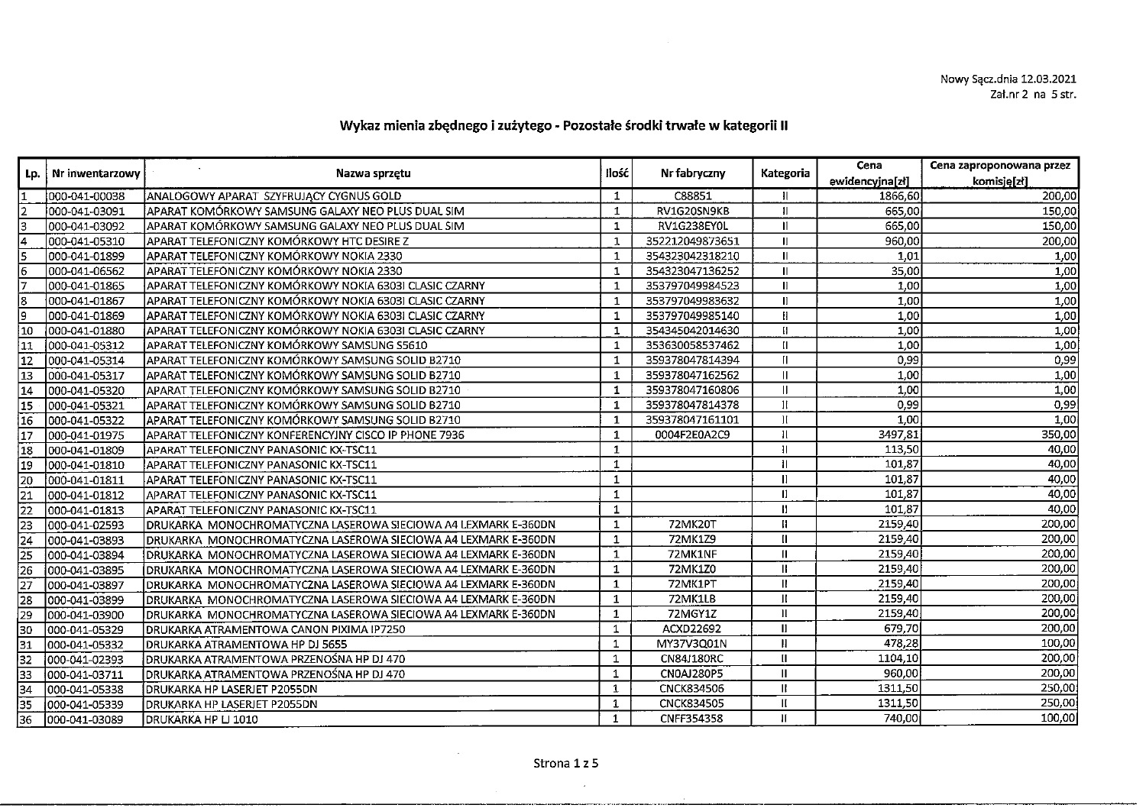## Wykaz mienia zbędnego i zużytego - Pozostałe środki trwałe w kategorii Il

|                                                                 | Nr inwentarzowy |                                                                | Ilość        | Nr fabryczny      | Kategoria    | Cena            | Cena zaproponowana przez |
|-----------------------------------------------------------------|-----------------|----------------------------------------------------------------|--------------|-------------------|--------------|-----------------|--------------------------|
| Lp.                                                             |                 | Nazwa sprzętu                                                  |              |                   |              | ewidencyjna[zł] | komisję[zł]              |
|                                                                 | 000-041-00038   | ANALOGOWY APARAT SZYFRUJĄCY CYGNUS GOLD                        | 1            | C88851            | н            | 1866,60         | 200,00                   |
|                                                                 | 000-041-03091   | APARAT KOMÓRKOWY SAMSUNG GALAXY NEO PLUS DUAL SIM              | $\mathbf{1}$ | RV1G20SN9KB       | 11           | 665,00          | 150,00                   |
|                                                                 | 000-041-03092   | APARAT KOMÓRKOWY SAMSUNG GALAXY NEO PLUS DUAL SIM              | $\mathbf{1}$ | RV1G238EY0L       | 11           | 665,00          | 150,00                   |
| $\frac{1}{6}$                                                   | 000-041-05310   | APARAT TELEFONICZNY KOMÓRKOWY HTC DESIRE Z                     | $\mathbf{1}$ | 352212049873651   | H.           | 960,00          | 200,00                   |
|                                                                 | 000-041-01899   | APARAT TELEFONICZNY KOMÓRKOWY NOKIA 2330                       | $\mathbf{1}$ | 354323042318210   | Ш            | 1,01            | 1,00                     |
|                                                                 | 000-041-06562   | APARAT TELEFONICZNY KOMÓRKOWY NOKIA 2330                       | 1            | 354323047136252   | Ш            | 35,00           | 1,00                     |
| ╔                                                               | 000-041-01865   | APARAT TELEFONICZNY KOMÓRKOWY NOKIA 6303I CLASIC CZARNY        | 1            | 353797049984523   | II.          | 1,00            | 1,00                     |
|                                                                 | 000-041-01867   | laparat telefoniczny komórkowy nokia 63031 CLASIC CZARNY       | $\mathbf{1}$ | 353797049983632   | II.          | 1,00            | 1,00                     |
| $\sqrt{\frac{8}{2}}$                                            | 000-041-01869   | APARAT TELEFONICZNY KOMÓRKOWY NOKIA 63031 CLASIC CZARNY        | $\mathbf{1}$ | 353797049985140   | н            | 1,00            | 1,00                     |
| 10                                                              | 000-041-01880   | APARAT TELEFONICZNY KOMÓRKOWY NOKIA 6303I CLASIC CZARNY        | $\mathbf{1}$ | 354345042014630   | Ш            | 1,00            | 1,00                     |
| $\overline{11}$                                                 | 1000-041-05312  | APARAT TELEFONICZNY KOMÓRKOWY SAMSUNG S5610                    | $\mathbf{1}$ | 353630058537462   | II.          | 1,00            | 1,00                     |
| $\overline{12}$                                                 | 1000-041-05314  | APARAT TELEFONICZNY KOMÓRKOWY SAMSUNG SOLID B2710              | $\mathbf{1}$ | 359378047814394   | П            | 0,99            | 0,99                     |
| $\overline{13}$                                                 | 000-041-05317   | APARAT TELEFONICZNY KOMÓRKOWY SAMSUNG SOLID B2710              | $\mathbf{1}$ | 359378047162562   | Ш            | 1,00            | 1,00                     |
| $\sqrt{14}$                                                     | 000-041-05320   | APARAT TELEFONICZNY KOMÓRKOWY SAMSUNG SOLID B2710              | $\mathbf{1}$ | 359378047160806   |              | 1,00            | 1,00                     |
| $\sqrt{15}$                                                     | 000-041-05321   | APARAT TELEFONICZNY KOMÓRKOWY SAMSUNG SOLID B2710              | $\mathbf{1}$ | 359378047814378   |              | 0,99            | 0,99                     |
| $\sqrt{16}$                                                     | 000-041-05322   | APARAT TELEFONICZNY KOMÓRKOWY SAMSUNG SOLID B2710              | $\mathbf{1}$ | 359378047161101   |              | 1,00            | 1,00                     |
| $\overline{17}$                                                 | 1000-041-01975  | APARAT TELEFONICZNY KONFERENCYJNY CISCO IP PHONE 7936          | $\mathbf{1}$ | 0004F2E0A2C9      | Ħ            | 3497,81         | 350,00                   |
| $\overline{18}$                                                 | 000-041-01809   | APARAT TELEFONICZNY PANASONIC KX-TSC11                         | $\mathbf{1}$ |                   | Ħ            | 113,50          | 40,00                    |
| 10                                                              | 000-041-01810   | APARAT TELEFONICZNY PANASONIC KX-TSC11                         | $\mathbf{1}$ |                   |              | 101,87          | 40,00                    |
| $\overline{20}$                                                 | 000-041-01811   | APARAT TELEFONICZNY PANASONIC KX-TSC11                         | 1            |                   |              | 101,87          | 40,00                    |
| 21                                                              | 000-041-01812   | APARAT TELEFONICZNY PANASONIC KX-TSC11                         | 1            |                   | Ħ            | 101,87          | 40,00                    |
| $\overline{22}$                                                 | 000-041-01813   | APARAT TELEFONICZNY PANASONIC KX-TSC11                         | $\mathbf{1}$ |                   | Ш            | 101,87          | 40,00                    |
| 23                                                              | 000-041-02593   | DRUKARKA_MONOCHROMATYCZNA LASEROWA SIECIOWA A4 LEXMARK E-360DN | $\mathbf{1}$ | 72MK20T           | Ш            | 2159,40         | 200,00                   |
| $\sqrt{24}$                                                     | 000-041-03893   | DRUKARKA MONOCHROMATYCZNA LASEROWA SIECIOWA A4 LEXMARK E-360DN | $\mathbf{1}$ | 72MK1Z9           | $\mathbf{u}$ | 2159,40         | 200,00                   |
| $\overline{25}$                                                 | 000-041-03894   | DRUKARKA MONOCHROMATYCZNA LASEROWA SIECIOWA A4 LEXMARK E-360DN | $\mathbf{1}$ | 72MK1NF           | $\mathbf{I}$ | 2159,40         | 200,00                   |
| $\begin{array}{c}\n\overline{26} \\ \overline{27}\n\end{array}$ | 000-041-03895   | DRUKARKA MONOCHROMATYCZNA LASEROWA SIECIOWA A4 LEXMARK E-360DN | $\mathbf{1}$ | 72MK1Z0           | $\mathbf{H}$ | 2159,40         | 200,00                   |
|                                                                 | 000-041-03897   | DRUKARKA MONOCHROMATYCZNA LASEROWA SIECIOWA A4 LEXMARK E-360DN | $\mathbf{1}$ | 72MK1PT           | $\mathbf{R}$ | 2159,40         | 200,00                   |
| $\overline{28}$                                                 | 000-041-03899   | DRUKARKA MONOCHROMATYCZNA LASEROWA SIECIOWA A4 LEXMARK E-360DN | $\mathbf{1}$ | 72MK1LB           | $\mathbf{H}$ | 2159,40         | 200,00                   |
|                                                                 | 000-041-03900   | DRUKARKA MONOCHROMATYCZNA LASEROWA SIECIOWA A4 LEXMARK E-360DN | $\mathbf{1}$ | 72MGY1Z           | $\mathbf{H}$ | 2159,40         | 200,00                   |
|                                                                 | 000-041-05329   | DRUKARKA ATRAMENTOWA CANON PIXIMA IP7250                       | $\mathbf{1}$ | ACXD22692         | $\mathbf{I}$ | 679,70          | 200,00                   |
|                                                                 | 000-041-05332   | DRUKARKA ATRAMENTOWA HP DJ 5655                                | $\mathbf{1}$ | MY37V3Q01N        | $\mathbf{I}$ | 478,28          | 100,00                   |
| $\frac{29}{30}$ $\frac{30}{32}$ $\frac{32}{33}$                 | 000-041-02393   | DRUKARKA ATRAMENTOWA PRZENOŚNA HP DJ 470                       | $\mathbf{1}$ | <b>CN84J180RC</b> | П            | 1104,10         | 200,00                   |
|                                                                 | 000-041-03711   | IDRUKARKA ATRAMENTOWA PRZENOŚNA HP DJ 470                      | $\mathbf{1}$ | <b>CN0AJ280P5</b> | $\mathbf{I}$ | 960,00          | 200,00                   |
| $\overline{34}$                                                 | 000-041-05338   | <b>DRUKARKA HP LASERJET P2055DN</b>                            | $\mathbf{1}$ | <b>CNCK834506</b> | Ш            | 1311,50         | 250,00                   |
| $\overline{35}$                                                 | 000-041-05339   | <b>IDRUKARKA HP LASERJET P2055DN</b>                           | 1            | <b>CNCK834505</b> | Ш            | 1311,50         | 250,00                   |
| $\overline{36}$                                                 | 000-041-03089   | DRUKARKA HP LJ 1010                                            | $\mathbf{1}$ | CNFF354358        | П            | 740,00          | 100,00                   |

 $\sim$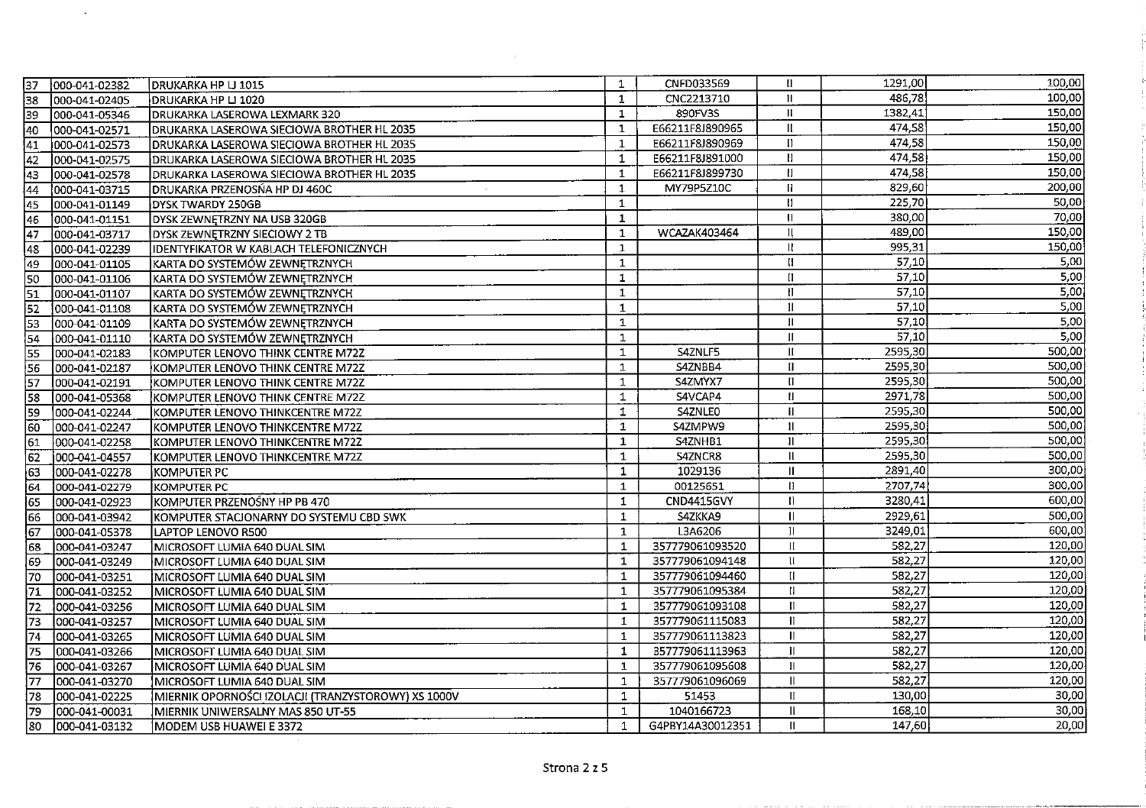| $\overline{37}$ | 000-041-02382  | IDRUKARKA HP LJ 1015                                | $\mathbf{1}$ | CNFD033569        | H             | 1291,00 | 100,00 |
|-----------------|----------------|-----------------------------------------------------|--------------|-------------------|---------------|---------|--------|
| 38              | 000-041-02405  | DRUKARKA HP LJ 1020                                 | 1            | CNC2213710        | $\mathbf{H}$  | 486,78  | 100,00 |
| 39              | 1000-041-05346 | DRUKARKA LASEROWA LEXMARK 320                       | $\mathbf{1}$ | 890FV3S           | $\mathbf{H}$  | 1382,41 | 150,00 |
| 40              | 000-041-02571  | DRUKARKA LASEROWA SIECIOWA BROTHER HL 2035          | $\mathbf{1}$ | E66211F8J890965   | $\mathbf{I}$  | 474,58  | 150,00 |
| $\sqrt{41}$     | 000-041-02573  | DRUKARKA LASEROWA SIECIOWA BROTHER HL 2035          | $\mathbf{1}$ | E66211F8J890969   | $\mathbf{H}$  | 474,58  | 150,00 |
| 42              | 000-041-02575  | DRUKARKA LASEROWA SIECIOWA BROTHER HL 2035          | 1            | E66211F8J891000   | Ħ             | 474,58  | 150,00 |
| 43              | 000-041-02578  | DRUKARKA LASEROWA SIECIOWA BROTHER HL 2035          | $\mathbf{1}$ | E66211F8J899730   | $\mathbf{H}$  | 474,58  | 150,00 |
| $\overline{44}$ | 000-041-03715  | DRUKARKA PRZENOSŃA HP DJ 460C                       | 1            | MY79P5Z10C        | $\mathbf{I}$  | 829,60  | 200,00 |
| 45              | 000-041-01149  | <b>DYSK TWARDY 250GB</b>                            | 1            |                   | $\mathbf{H}$  | 225,70  | 50,00  |
| 46              | 000-041-01151  | DYSK ZEWNĘTRZNY NA USB 320GB                        | $\mathbf{1}$ |                   | $\mathbf{u}$  | 380,00  | 70,00  |
| 47              | 000-041-03717  | DYSK ZEWNETRZNY SIECIOWY 2 TB                       | $\mathbf{1}$ | WCAZAK403464      | 11            | 489,00  | 150,00 |
| 48              | 000-041-02239  | IDENTYFIKATOR W KABLACH TELEFONICZNYCH              | 1            |                   | $\mathbf{R}$  | 995,31  | 150,00 |
| 49              | 000-041-01105  | KARTA DO SYSTEMÓW ZEWNĘTRZNYCH                      | $\mathbf{1}$ |                   | H             | 57,10   | 5,00   |
| 50              | 000-041-01106  | KARTA DO SYSTEMÓW ZEWNĘTRZNYCH                      | 1            |                   | П             | 57,10   | 5,00   |
| $\sqrt{51}$     | 000-041-01107  | KARTA DO SYSTEMÓW ZEWNĘTRZNYCH                      | 1            |                   |               | 57,10   | 5,00   |
| 52              | 000-041-01108  | KARTA DO SYSTEMÓW ZEWNĘTRZNYCH                      | $\mathbf{1}$ |                   |               | 57,10   | 5,00   |
| 53              | 000-041-01109  | KARTA DO SYSTEMÓW ZEWNĘTRZNYCH                      | $\mathbf{1}$ |                   |               | 57,10   | 5,00   |
| 54              | 000-041-01110  | KARTA DO SYSTEMÓW ZEWNĘTRZNYCH                      | $\mathbf{1}$ |                   |               | 57,10   | 5,00   |
| $\overline{55}$ | 000-041-02183  | KOMPUTER LENOVO THINK CENTRE M72Z                   | 1            | S4ZNLF5           |               | 2595,30 | 500,00 |
| 56              | 000-041-02187  | KOMPUTER LENOVO THINK CENTRE M72Z                   | $\mathbf{1}$ | S4ZNBB4           | $\mathbf{I}$  | 2595,30 | 500,00 |
| 57              | 000-041-02191  | KOMPUTER LENOVO THINK CENTRE M72Z                   | 1            | S4ZMYX7           | $\mathbf{u}$  | 2595,30 | 500,00 |
| 58              | 000-041-05368  | KOMPUTER LENOVO THINK CENTRE M72Z                   | 1            | S4VCAP4           | $\mathbf{H}$  | 2971,78 | 500,00 |
| 59              | 000-041-02244  | KOMPUTER LENOVO THINKCENTRE M72Z                    | 1            | S4ZNLEO           | $\mathbf{H}$  | 2595,30 | 500,00 |
| 60              | 000-041-02247  | KOMPUTER LENOVO THINKCENTRE M72Z                    | 1            | S4ZMPW9           | $\mathbf{I}$  | 2595,30 | 500,00 |
| 61              | 000-041-02258  | KOMPUTER LENOVO THINKCENTRE M72Z                    | 1            | S4ZNHB1           | $\mathbf{H}$  | 2595,30 | 500,00 |
| 62              | 000-041-04557  | KOMPUTER LENOVO THINKCENTRE M72Z                    | $\mathbf{1}$ | S4ZNCR8           | $\mathbf{1}$  | 2595,30 | 500,00 |
| 63              | 000-041-02278  | KOMPUTER PC                                         | 1            | 1029136           | $\mathbf{II}$ | 2891,40 | 300,00 |
| 64              | 000-041-02279  | KOMPUTER PC                                         | 1            | 00125651          | $\mathbf{H}$  | 2707,74 | 300,00 |
| 65              | 000-041-02923  | KOMPUTER PRZENOŚNY HP PB 470                        | $\mathbf{1}$ | <b>CND4415GVY</b> | $\mathbf{H}$  | 3280,41 | 600,00 |
| 66              | 000-041-03942  | KOMPUTER STACIONARNY DO SYSTEMU CBD SWK             | $\mathbf{1}$ | S4ZKKA9           | $\mathbf{I}$  | 2929,61 | 500,00 |
| 67              | 000-041-05378  | LAPTOP LENOVO R500                                  | 1            | L3A6206           |               | 3249,01 | 600,00 |
| 68              | 000-041-03247  | MICROSOFT LUMIA 640 DUAL SIM                        | 1            | 357779061093520   | Ш             | 582,27  | 120,00 |
| 59              | 000-041-03249  | MICROSOFT LUMIA 640 DUAL SIM                        | $\mathbf{1}$ | 357779061094148   | Ħ             | 582,27  | 120,00 |
| 70              | 000-041-03251  | MICROSOFT LUMIA 640 DUAL SIM                        | $\mathbf{1}$ | 357779061094460   | H.            | 582,27  | 120,00 |
| 71              | 000-041-03252  | MICROSOFT LUMIA 640 DUAL SIM                        | $\mathbf{1}$ | 357779061095384   | H             | 582,27  | 120,00 |
| $\overline{72}$ | 000-041-03256  | MICROSOFT LUMIA 640 DUAL SIM                        | 1            | 357779061093108   | П             | 582,27  | 120,00 |
| 73              | 000-041-03257  | MICROSOFT LUMIA 640 DUAL SIM                        | 1            | 357779061115083   | H             | 582,27  | 120,00 |
| 74              | 000-041-03265  | MICROSOFT LUMIA 640 DUAL SIM                        | 1            | 357779061113823   | Ш             | 582,27  | 120,00 |
| 75              | 1000-041-03266 | MICROSOFT LUMIA 640 DUAL SIM                        | $\mathbf{1}$ | 357779061113963   | Ш             | 582,27  | 120,00 |
| 76              | 000-041-03267  | MICROSOFT LUMIA 640 DUAL SIM                        | $\mathbf{1}$ | 357779061095608   | $\mathbf{II}$ | 582,27  | 120,00 |
| $\overline{77}$ | 000-041-03270  | MICROSOFT LUMIA 640 DUAL SIM                        | $\mathbf{1}$ | 357779061096069   | П             | 582,27  | 120,00 |
| 78              | 000-041-02225  | MIERNIK OPORNOŚCI IZOLACJI (TRANZYSTOROWY) XS 1000V | 1            | 51453             | Ш             | 130,00  | 30,00  |
| 79              | 000-041-00031  | MIERNIK UNIWERSALNY MAS 850 UT-55                   | $\mathbf{1}$ | 1040166723        | Ш             | 158,10  | 30,00  |
| 80              | 000-041-03132  | MODEM USB HUAWEI E 3372                             | $\mathbf{1}$ | G4PBY14A30012351  | $\mathbf{II}$ | 147,60  | 20,00  |

 $\frac{1}{2}$ 

 $\sim$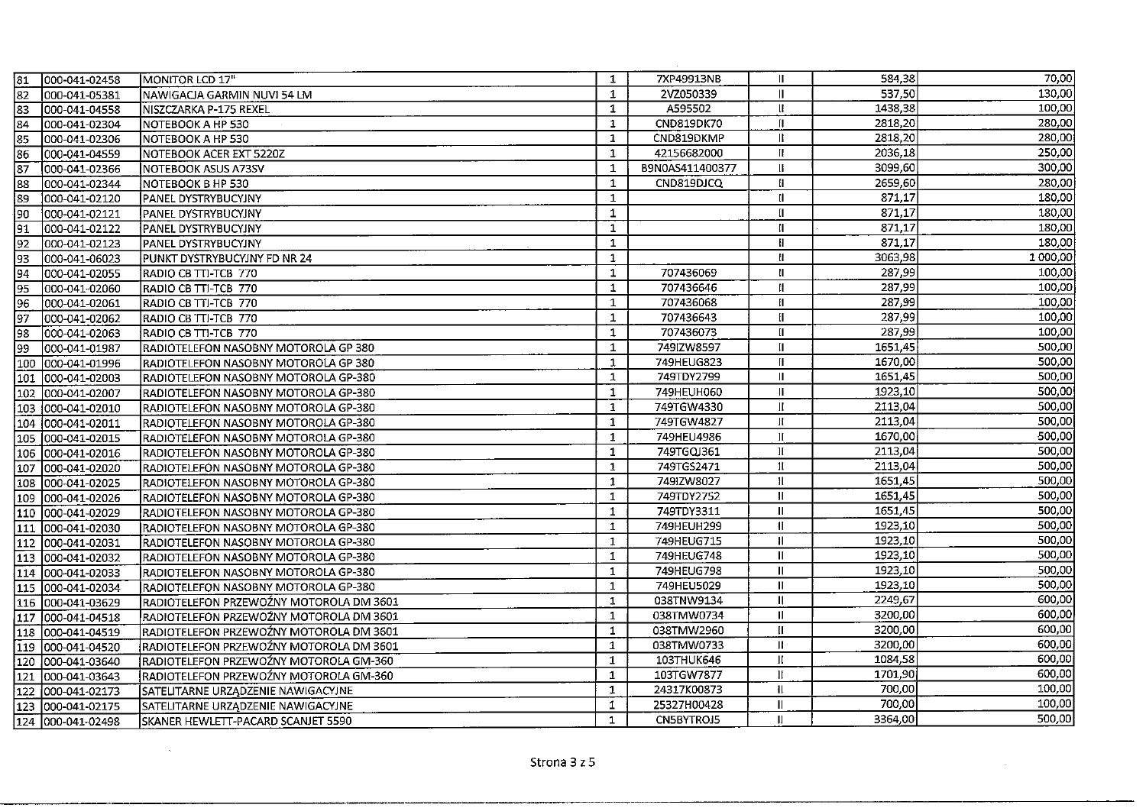| 81              | 000-041-02458      | <b>MONITOR LCD 17"</b>                  | $\mathbf{1}$ | 7XP49913NB      | Ш             | 584,38  | 70,00    |
|-----------------|--------------------|-----------------------------------------|--------------|-----------------|---------------|---------|----------|
| 82              | 000-041-05381      | NAWIGACJA GARMIN NUVI 54 LM             | $\mathbf{1}$ | 2VZ050339       | п             | 537,50  | 130,00   |
| 83              | 1000-041-04558     | INISZCZARKA P-175 REXEL                 | $\mathbf{1}$ | A595502         | Ш             | 1438.38 | 100,00   |
| 84              | 000-041-02304      | INOTEBOOK A HP 530                      | $\mathbf{1}$ | CND819DK70      | П.            | 2818,20 | 280,00   |
| 85              | 000-041-02306      | NOTEBOOK A HP 530                       | $\mathbf{1}$ | CND819DKMP      | п             | 2818,20 | 280,00   |
| 86              | 1000-041-04559     | NOTEBOOK ACER EXT 5220Z                 | $\mathbf{1}$ | 42156682000     | Ħ.            | 2036,18 | 250,00   |
| $\overline{87}$ | 000-041-02366      | NOTEBOOK ASUS A73SV                     | $\mathbf{1}$ | B9N0AS411400377 | Ш.            | 3099,60 | 300,00   |
| 88              | 000-041-02344      | NOTEBOOK B HP 530                       | $\mathbf{1}$ | CND819DJCQ      | H.            | 2659,60 | 280,00   |
| 89              | 000-041-02120      | IPANEL DYSTRYBUCYJNY                    | 1            |                 | H.            | 871,17  | 180,00   |
| 90              | 1000-041-02121     | PANEL DYSTRYBUCYJNY                     | $\mathbf{1}$ |                 | II.           | 871.17  | 180,00   |
| 91              | 000-041-02122      | PANEL DYSTRYBUCYJNY                     | $\mathbf{1}$ |                 | ıı            | 871,17  | 180,00   |
| 92              | 000-041-02123      | <b>PANEL DYSTRYBUCYJNY</b>              | $\mathbf{1}$ |                 | Ħ             | 871,17  | 180,00   |
| 93              | 000-041-06023      | PUNKT DYSTRYBUCYJNY FD NR 24            | $\mathbf{1}$ |                 | Ħ             | 3063,98 | 1 000,00 |
| 94              | 000-041-02055      | RADIO CB TTI-TCB 770                    | 1            | 707436069       | Ш             | 287,99  | 100,00   |
| 95              | 000-041-02060      | RADIO CB TTI-TCB 770                    | $\mathbf{1}$ | 707436646       | Ħ             | 287,99  | 100,00   |
| 96              | 000-041-02061      | RADIO CB TTI-TCB 770                    | $\mathbf{1}$ | 707436068       | Ш             | 287,99  | 100,00   |
| $\sqrt{97}$     | 000-041-02062      | RADIO CB TTI-TCB 770                    | $\mathbf{1}$ | 707436643       | H.            | 287.99  | 100,00   |
| 98              | 000-041-02063      | RADIO CB TTI-TCB 770                    | $\mathbf{1}$ | 707436073       |               | 287,99  | 100,00   |
| 99              | 000-041-01987      | RADIOTELEFON NASOBNY MOTOROLA GP 380    | $\mathbf{1}$ | 749IZW8597      | II.           | 1651,45 | 500,00   |
| 100             | 000-041-01996      | RADIOTELEFON NASOBNY MOTOROLA GP 380    | $\mathbf{1}$ | 749HEUG823      | Ш.            | 1670.00 | 500,00   |
|                 | 101 000-041-02003  | RADIOTELEFON NASOBNY MOTOROLA GP-380    | $\mathbf{1}$ | 749TDY2799      | Ш             | 1651,45 | 500,00   |
|                 | 102 000-041-02007  | RADIOTELEFON NASOBNY MOTOROLA GP-380    | $\mathbf{1}$ | 749HEUH060      | Ш             | 1923,10 | 500,00   |
|                 | 103 000-041-02010  | RADIOTELEFON NASOBNY MOTOROLA GP-380    | $\mathbf{1}$ | 749TGW4330      |               | 2113,04 | 500,00   |
|                 | 104  000-041-02011 | RADIOTELEFON NASOBNY MOTOROLA GP-380    | $\mathbf{1}$ | 749TGW4827      | Ħ             | 2113,04 | 500,00   |
|                 | 105 000-041-02015  | RADIOTELEFON NASOBNY MOTOROLA GP-380    | 1            | 749HEU4986      | П             | 1670,00 | 500,00   |
|                 | 106  000-041-02016 | RADIOTELEFON NASOBNY MOTOROLA GP-380    | 1            | 749TGQJ361      | н             | 2113,04 | 500,00   |
| 107             | 000-041-02020      | RADIOTELEFON NASOBNY MOTOROLA GP-380    | $\mathbf{1}$ | 749TGS2471      | Ħ             | 2113,04 | 500,00   |
|                 | 108 000-041-02025  | RADIOTELEFON NASOBNY MOTOROLA GP-380    | $\mathbf{1}$ | 749IZW8027      | $\mathbf{I}$  | 1651,45 | 500,00   |
|                 | 109 000-041-02026  | RADIOTELEFON NASOBNY MOTOROLA GP-380    | 1            | 749TDY2752      | $\mathbf{H}$  | 1651,45 | 500,00   |
| 110             | 1000-041-02029     | RADIOTELEFON NASOBNY MOTOROLA GP-380    | 1            | 749TDY3311      | Ш.            | 1651.45 | 500,00   |
|                 | 111 000-041-02030  | RADIOTELEFON NASOBNY MOTOROLA GP-380    | 1            | 749HEUH299      | II.           | 1923,10 | 500,00   |
|                 | 112  000-041-02031 | RADIOTELEFON NASOBNY MOTOROLA GP-380    | 1            | 749HEUG715      | 11            | 1923,10 | 500,00   |
|                 | 113 000-041-02032  | RADIOTELEFON NASOBNY MOTOROLA GP-380    | $\mathbf{1}$ | 749HEUG748      | $\mathbf{H}$  | 1923,10 | 500,00   |
|                 | 114 000-041-02033  | RADIOTELEFON NASOBNY MOTOROLA GP-380    | $\mathbf{1}$ | 749HEUG798      | Ш             | 1923,10 | 500,00   |
|                 | 115 000-041-02034  | RADIOTELEFON NASOBNY MOTOROLA GP-380    | 1            | 749HEU5029      | $\mathbf{II}$ | 1923,10 | 500,00   |
|                 | 116  000-041-03629 | RADIOTELEFON PRZEWOŹNY MOTOROLA DM 3601 | $\mathbf{1}$ | 038TNW9134      | 11            | 2249,67 | 600,00   |
|                 | 117 000-041-04518  | RADIOTELEFON PRZEWOŻNY MOTOROLA DM 3601 | 1            | 038TMW0734      | П.            | 3200,00 | 600,00   |
|                 | 118 000-041-04519  | RADIOTELEFON PRZEWOŹNY MOTOROLA DM 3601 | 1            | 038TMW2960      | $\mathbf{I}$  | 3200.00 | 600,00   |
|                 | 119 1000-041-04520 | RADIOTELEFON PRZEWOŹNY MOTOROLA DM 3601 | $\mathbf{1}$ | 038TMW0733      | $\mathbf{H}$  | 3200,00 | 600,00   |
|                 | 120 000-041-03640  | RADIOTELEFON PRZEWOŹNY MOTOROLA GM-360  | $\mathbf{1}$ | 103THUK646      | П             | 1084,58 | 600,00   |
|                 | 121 000-041-03643  | RADIOTELEFON PRZEWOŹNY MOTOROLA GM-360  | $\mathbf{1}$ | 103TGW7877      | $\mathbf{H}$  | 1701,90 | 600,00   |
| 122             | 000-041-02173      | SATELITARNE URZĄDZENIE NAWIGACYJNE      | $\mathbf{1}$ | 24317K00873     | $\mathbf{u}$  | 700,00  | 100,00   |
| 123             | 000-041-02175      | SATELITARNE URZĄDZENIE NAWIGACYJNE      | $\mathbf{1}$ | 25327H00428     | II            | 700,00  | 100,00   |
|                 | 124 000-041-02498  | SKANER HEWLETT-PACARD SCANJET 5590      | 1            | CN5BYTROJ5      | $\mathbf{I}$  | 3364,00 | 500,00   |

 $\sim 10^7$ 

 $\alpha = 60$  .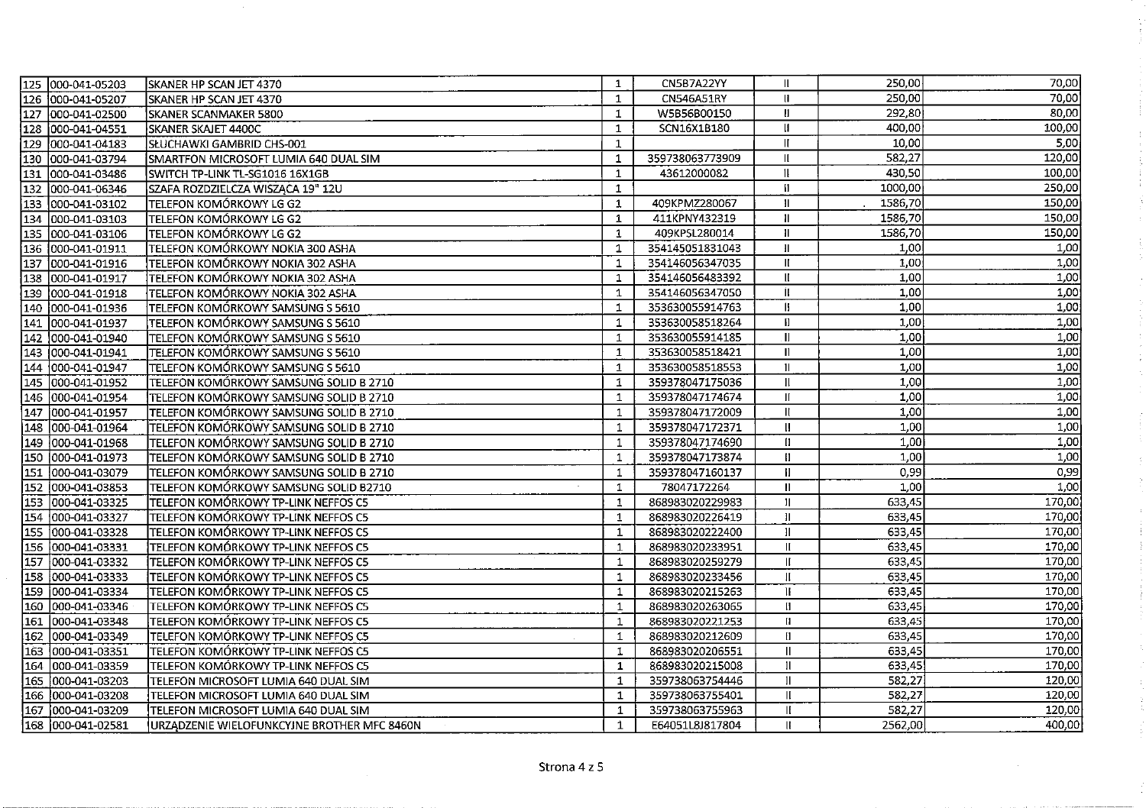| 125 000-041-05203    | SKANER HP SCAN JET 4370                     | $\mathbf{1}$ | CN5B7A22YY      | Ш.                         | 250,00  | 70,00  |
|----------------------|---------------------------------------------|--------------|-----------------|----------------------------|---------|--------|
| 126 000-041-05207    | SKANER HP SCAN JET 4370                     | $\mathbf{1}$ | CN546A51RY      | $\mathbf{H}$               | 250,00  | 70,00  |
| 127 000-041-02500    | SKANER SCANMAKER 5800                       | $\perp$      | W5B56B00150     | $\mathbf{I}$               | 292,80  | 80,00  |
| 128  000-041-04551   | SKANER SKAJET 4400C                         | $\mathbf{1}$ | SCN16X1B180     | $\mathbf{u}$               | 400,00  | 100,00 |
| 129 000-041-04183    | SŁUCHAWKI GAMBRID CHS-001                   | $\mathbf{1}$ |                 | $\mathbf{H}$               | 10,00   | 5,00   |
| 130 000-041-03794    | SMARTFON MICROSOFT LUMIA 640 DUAL SIM       | $\mathbf{1}$ | 359738063773909 | н                          | 582,27  | 120,00 |
| 131<br>000-041-03486 | SWITCH TP-LINK TL-SG1016 16X1GB             | 1            | 43612000082     | $\mathbf{1}$               | 430,50  | 100,00 |
| 132 000-041-06346    | SZAFA ROZDZIELCZA WISZĄCA 19" 12U           | $\mathbf{1}$ |                 | $\mathbf{H}$               | 1000,00 | 250,00 |
| 133 000-041-03102    | TELEFON KOMÓRKOWY LG G2                     | $\mathbf{1}$ | 409KPMZ280067   | $\mathbf{H}$               | 1586,70 | 150,00 |
| 134 000-041-03103    | TELEFON KOMÓRKOWY LG G2                     | $\mathbf{1}$ | 411KPNY432319   | $\ensuremath{\mathsf{II}}$ | 1586,70 | 150,00 |
| 135 000-041-03106    | TELEFON KOMÓRKOWY LG G2                     | $\mathbf{1}$ | 409KPSL280014   | Ħ                          | 1586,70 | 150,00 |
| 136  000-041-01911   | TELEFON KOMÓRKOWY NOKIA 300 ASHA            | $\mathbf{1}$ | 354145051831043 | $\mathbf{H}$               | 1,00    | 1,00   |
| 137 000-041-01916    | TELEFON KOMÓRKOWY NOKIA 302 ASHA            | $\mathbf{1}$ | 354146056347035 | $\mathbf{H}$               | 1,00    | 1,00   |
| 138 000-041-01917    | TELEFON KOMÓRKOWY NOKIA 302 ASHA            | $\mathbf{1}$ | 354146056483392 | $\mathbf{II}$              | 1,00    | 1,00   |
| 139 000-041-01918    | TELEFON KOMÓRKOWY NOKIA 302 ASHA            | $\mathbf{1}$ | 354146056347050 | İľ                         | 1,00    | 1,00   |
| 140 000-041-01936    | TELEFON KOMÓRKOWY SAMSUNG S 5610            | $\mathbf{1}$ | 353630055914763 | И.                         | 1,00    | 1,00   |
| 141<br>000-041-01937 | TELEFON KOMÓRKOWY SAMSUNG S 5610            | $\mathbf{1}$ | 353630058518264 | $\mathbf{H}$               | 1,00    | 1,00   |
| 142 000-041-01940    | TELEFON KOMÓRKOWY SAMSUNG S 5610            | 1            | 353630055914185 | $\mathbf{I}$               | 1,00    | 1,00   |
| 143 000-041-01941    | TELEFON KOMÓRKOWY SAMSUNG S 5610            | $\mathbf{1}$ | 353630058518421 | $\mathbf{I}$               | 1,00    | 1,00   |
| 144 000-041-01947    | TELEFON KOMÓRKOWY SAMSUNG S 5610            | 1            | 353630058518553 | $\mathbf{I}$               | 1,00    | 1,00   |
| 145 000-041-01952    | TELEFON KOMÓRKOWY SAMSUNG SOLID B 2710      | $\mathbf{1}$ | 359378047175036 | 11                         | 1,00    | 1,00   |
| 146 000-041-01954    | TELEFON KOMÓRKOWY SAMSUNG SOLID B 2710      | $\mathbf{1}$ | 359378047174674 | $\mathbf{H}$               | 1,00    | 1,00   |
| 147 000-041-01957    | TELEFON KOMÓRKOWY SAMSUNG SOLID B 2710      | $\mathbf{1}$ | 359378047172009 | $\mathbf{I}$               | 1,00    | 1,00   |
| 148 000-041-01964    | TELEFON KOMÓRKOWY SAMSUNG SOLID B 2710      | 1            | 359378047172371 | $\mathbf{u}$               | 1,00    | 1,00   |
| 149  000-041-01968   | TELEFON KOMÓRKOWY SAMSUNG SOLID B 2710      | 1            | 359378047174690 | $\mathbf{I}$               | 1,00    | 1,00   |
| 150  000-041-01973   | TELEFON KOMÓRKOWY SAMSUNG SOLID B 2710      | $\mathbf{1}$ | 359378047173874 | Ð                          | 1,00    | 1,00   |
| 151<br>000-041-03079 | TELEFON KOMÓRKOWY SAMSUNG SOLID B 2710      | 1            | 359378047160137 | $\mathbf{I}$               | 0,99    | 0,99   |
| 152 000-041-03853    | TELEFON KOMÓRKOWY SAMSUNG SOLID B2710       | $\mathbf{1}$ | 78047172264     | $\mathbf{II}$              | 1,00    | 1,00   |
| 153 000-041-03325    | TELEFON KOMÓRKOWY TP-LINK NEFFOS C5         | $\mathbf{1}$ | 868983020229983 | $\mathbf{H}$               | 633,45  | 170,00 |
| 154 000-041-03327    | TELEFON KOMÓRKOWY TP-LINK NEFFOS C5         | $\mathbf{1}$ | 868983020226419 | $\mathbf{H}$               | 633,45  | 170,00 |
| 155 000-041-03328    | TELEFON KOMÓRKOWY TP-LINK NEFFOS C5         | $\mathbf{1}$ | 868983020222400 | $\mathbf{H}$               | 633,45  | 170,00 |
| 156 000-041-03331    | TELEFON KOMÓRKOWY TP-LINK NEFFOS C5         | $\mathbf{1}$ | 868983020233951 | $\mathbf{H}$               | 633,45  | 170,00 |
| 157 000-041-03332    | TELEFON KOMÓRKOWY TP-LINK NEFFOS C5         | 1            | 868983020259279 | $\mathbf{H}$               | 633,45  | 170,00 |
| 158 000-041-03333    | TELEFON KOMÓRKOWY TP-LINK NEFFOS C5         | 1            | 868983020233456 | Ш                          | 633,45  | 170,00 |
| 159 000-041-03334    | TELEFON KOMÓRKOWY TP-LINK NEFFOS C5         | $\mathbf{1}$ | 868983020215263 | $\mathbf{u}$               | 633,45  | 170,00 |
| 160 000-041-03346    | TELEFON KOMÓRKOWY TP-LINK NEFFOS C5         | $\mathbf{1}$ | 868983020263065 | $\mathbf{H}$               | 633,45  | 170,00 |
| 161  000-041-03348   | TELEFON KOMÓRKOWY TP-LINK NEFFOS C5         | $\mathbf{1}$ | 868983020221253 | $\mathbf{u}$               | 633,45  | 170,00 |
| 162 000-041-03349    | TELEFON KOMÓRKOWY TP-LINK NEFFOS C5         | $\mathbf{1}$ | 868983020212609 | $\mathbf{H}$               | 633,45  | 170,00 |
| 163  000-041-03351   | TELEFON KOMÓRKOWY TP-LINK NEFFOS C5         | 1            | 868983020206551 | $\mathbf{I}$               | 633,45  | 170,00 |
| 164 000-041-03359    | TELEFON KOMÓRKOWY TP-LINK NEFFOS C5         | $\mathbf{1}$ | 868983020215008 | $\mathbf{u}$               | 633,45  | 170,00 |
| 165 000-041-03203    | TELEFON MICROSOFT LUMIA 640 DUAL SIM        | 1            | 359738063754446 | $\mathbf{  }$              | 582,27  | 120,00 |
| 166 000-041-03208    | TELEFON MICROSOFT LUMIA 640 DUAL SIM        | 1            | 359738063755401 | $\mathbf{II}$              | 582,27  | 120,00 |
| 167<br>000-041-03209 | TELEFON MICROSOFT LUMIA 640 DUAL SIM        | $\mathbf{1}$ | 359738063755963 | Æ                          | 582,27  | 120,00 |
| 168 000-041-02581    | URZĄDZENIE WIELOFUNKCYJNE BROTHER MFC 8460N | $\mathbf{1}$ | E64051L8J817804 | $\mathbf{H}$               | 2562,00 | 400,00 |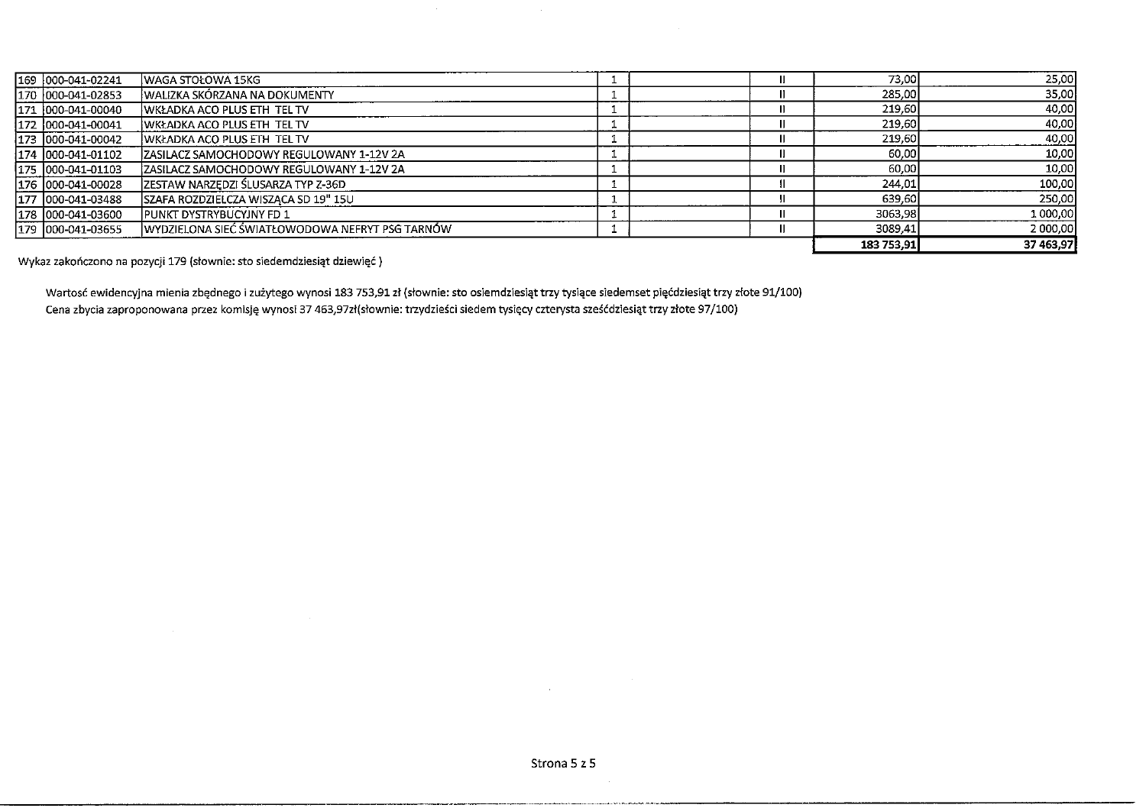| 169 000-041-02241   | WAGA STOŁOWA 15KG                               |  | 73,00      | 25,00     |
|---------------------|-------------------------------------------------|--|------------|-----------|
| 170 000-041-02853   | WALIZKA SKÓRZANA NA DOKUMENTY                   |  | 285,00     | 35,00     |
| $171$ 000-041-00040 | <b>WKŁADKA ACO PLUS ETH TEL TV</b>              |  | 219,60     | 40,00     |
| 1172 000-041-00041  | <b>WKŁADKA ACO PLUS ETH TEL TV</b>              |  | 219,60     | 40,00     |
| 173  000-041-00042  | <b>IWKŁADKA ACO PLUS ETH TEL TV</b>             |  | 219,60     | 40,00     |
| 1174 1000-041-01102 | IZASILACZ SAMOCHODOWY REGULOWANY 1-12V 2A       |  | 60,00      | 10,00     |
| 175 000-041-01103   | IZASILACZ SAMOCHODOWY REGULOWANY 1-12V 2A       |  | 60,00      | 10,00     |
| 176  000-041-00028  | ZESTAW NARZĘDZI ŚLUSARZA TYP Z-36D              |  | 244,01     | 100,00    |
| 177 1000-041-03488  | SZAFA ROZDZIELCZA WISZĄCA SD 19" 15U            |  | 639.60     | 250,00    |
| 178 000-041-03600   | <b>IPUNKT DYSTRYBUCYJNY FD 1</b>                |  | 3063,98    | 1 000,00  |
| 179  000-041-03655  | WYDZIELONA SIEĆ ŚWIATŁOWODOWA NEFRYT PSG TARNÓW |  | 3089.41    | 2 000,00  |
|                     |                                                 |  | 183 753.91 | 37 463,97 |

Wykaz zakończono na pozycji 179 (słownie: sto siedemdziesiąt dziewięć)

Wartosć ewidencyjna mienia zbędnego i zużytego wynosi 183 753,91 zł (słownie: sto osiemdziesiąt trzy tysiące siedemset pięćdziesiąt trzy złote 91/100) Cena zbycia zaproponowana przez komisję wynosi 37 463,97zł(słownie: trzydzieści siedem tysięcy czterysta sześćdziesiąt trzy złote 97/100)

 $\overline{a}$